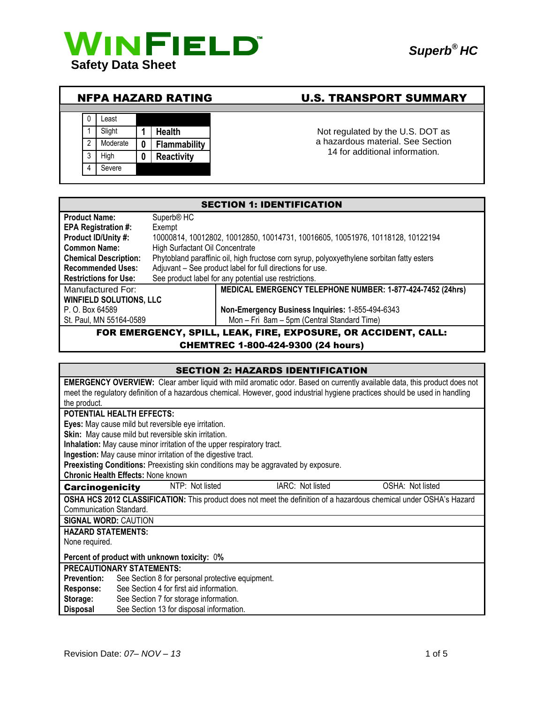

# NFPA HAZARD RATING U.S. TRANSPORT SUMMARY



Not regulated by the U.S. DOT as a hazardous material. See Section 14 for additional information.

| <b>SECTION 1: IDENTIFICATION</b>                                       |                                                                                            |  |  |  |
|------------------------------------------------------------------------|--------------------------------------------------------------------------------------------|--|--|--|
| <b>Product Name:</b>                                                   | Superb <sup>®</sup> HC                                                                     |  |  |  |
| <b>EPA Registration #:</b>                                             | Exempt                                                                                     |  |  |  |
| Product ID/Unity #:                                                    | 10000814, 10012802, 10012850, 10014731, 10016605, 10051976, 10118128, 10122194             |  |  |  |
| <b>Common Name:</b>                                                    | High Surfactant Oil Concentrate                                                            |  |  |  |
| <b>Chemical Description:</b>                                           | Phytobland paraffinic oil, high fructose corn syrup, polyoxyethylene sorbitan fatty esters |  |  |  |
| <b>Recommended Uses:</b>                                               | Adjuvant - See product label for full directions for use.                                  |  |  |  |
| <b>Restrictions for Use:</b>                                           | See product label for any potential use restrictions.                                      |  |  |  |
| Manufactured For:                                                      | MEDICAL EMERGENCY TELEPHONE NUMBER: 1-877-424-7452 (24hrs)                                 |  |  |  |
| <b>WINFIELD SOLUTIONS, LLC</b>                                         |                                                                                            |  |  |  |
| Non-Emergency Business Inquiries: 1-855-494-6343<br>P. O. Box 64589    |                                                                                            |  |  |  |
| Mon - Fri 8am - 5pm (Central Standard Time)<br>St. Paul, MN 55164-0589 |                                                                                            |  |  |  |
| FOR EMERGENCY, SPILL, LEAK, FIRE, EXPOSURE, OR ACCIDENT, CALL:         |                                                                                            |  |  |  |

## CHEMTREC 1-800-424-9300 (24 hours)

| <b>SECTION 2: HAZARDS IDENTIFICATION</b>                                                                                        |  |  |  |  |
|---------------------------------------------------------------------------------------------------------------------------------|--|--|--|--|
| <b>EMERGENCY OVERVIEW:</b> Clear amber liquid with mild aromatic odor. Based on currently available data, this product does not |  |  |  |  |
| meet the regulatory definition of a hazardous chemical. However, good industrial hygiene practices should be used in handling   |  |  |  |  |
| the product.                                                                                                                    |  |  |  |  |
| POTENTIAL HEALTH EFFECTS:                                                                                                       |  |  |  |  |
| Eyes: May cause mild but reversible eye irritation.                                                                             |  |  |  |  |
| Skin: May cause mild but reversible skin irritation.                                                                            |  |  |  |  |
| Inhalation: May cause minor irritation of the upper respiratory tract.                                                          |  |  |  |  |
| Ingestion: May cause minor irritation of the digestive tract.                                                                   |  |  |  |  |
| Preexisting Conditions: Preexisting skin conditions may be aggravated by exposure.                                              |  |  |  |  |
| <b>Chronic Health Effects: None known</b>                                                                                       |  |  |  |  |
| NTP: Not listed<br>IARC: Not listed<br>OSHA: Not listed<br><b>Carcinogenicity</b>                                               |  |  |  |  |
| <b>OSHA HCS 2012 CLASSIFICATION:</b> This product does not meet the definition of a hazardous chemical under OSHA's Hazard      |  |  |  |  |
| Communication Standard.                                                                                                         |  |  |  |  |
| <b>SIGNAL WORD: CAUTION</b>                                                                                                     |  |  |  |  |
| <b>HAZARD STATEMENTS:</b>                                                                                                       |  |  |  |  |
| None required.                                                                                                                  |  |  |  |  |
| Percent of product with unknown toxicity: 0%                                                                                    |  |  |  |  |
| <b>PRECAUTIONARY STATEMENTS:</b>                                                                                                |  |  |  |  |
| See Section 8 for personal protective equipment.<br><b>Prevention:</b>                                                          |  |  |  |  |
| See Section 4 for first aid information.<br>Response:                                                                           |  |  |  |  |
| Storage:<br>See Section 7 for storage information.                                                                              |  |  |  |  |
| See Section 13 for disposal information.<br><b>Disposal</b>                                                                     |  |  |  |  |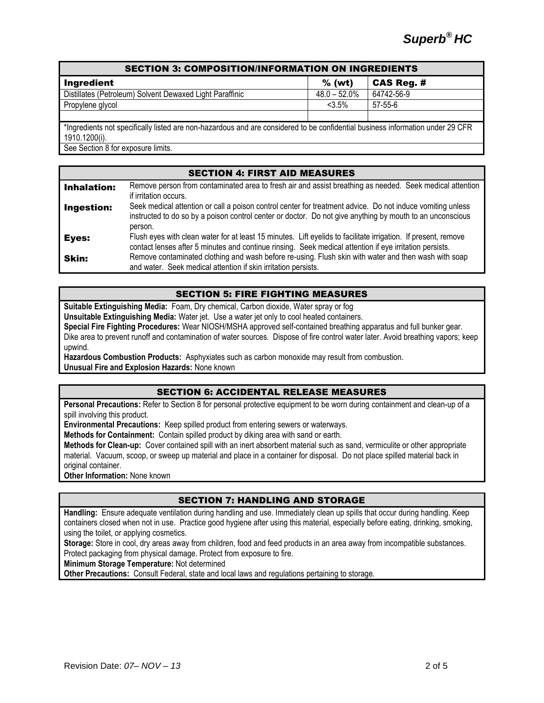| <b>SECTION 3: COMPOSITION/INFORMATION ON INGREDIENTS</b>                                                                       |  |  |  |  |  |
|--------------------------------------------------------------------------------------------------------------------------------|--|--|--|--|--|
| <b>CAS Reg. #</b>                                                                                                              |  |  |  |  |  |
| 64742-56-9                                                                                                                     |  |  |  |  |  |
|                                                                                                                                |  |  |  |  |  |
|                                                                                                                                |  |  |  |  |  |
| *Ingredients not specifically listed are non-hazardous and are considered to be confidential business information under 29 CFR |  |  |  |  |  |
| 1910.1200(i).                                                                                                                  |  |  |  |  |  |
|                                                                                                                                |  |  |  |  |  |

See Section 8 for exposure limits.

| <b>SECTION 4: FIRST AID MEASURES</b> |                                                                                                                                                                                                                                    |  |  |  |
|--------------------------------------|------------------------------------------------------------------------------------------------------------------------------------------------------------------------------------------------------------------------------------|--|--|--|
| <b>Inhalation:</b>                   | Remove person from contaminated area to fresh air and assist breathing as needed. Seek medical attention<br>if irritation occurs.                                                                                                  |  |  |  |
| Ingestion:                           | Seek medical attention or call a poison control center for treatment advice. Do not induce vomiting unless<br>instructed to do so by a poison control center or doctor. Do not give anything by mouth to an unconscious<br>person. |  |  |  |
| Eyes:                                | Flush eyes with clean water for at least 15 minutes. Lift eyelids to facilitate irrigation. If present, remove<br>contact lenses after 5 minutes and continue rinsing. Seek medical attention if eye irritation persists.          |  |  |  |
| Skin:                                | Remove contaminated clothing and wash before re-using. Flush skin with water and then wash with soap<br>and water. Seek medical attention if skin irritation persists.                                                             |  |  |  |

## SECTION 5: FIRE FIGHTING MEASURES

**Suitable Extinguishing Media:** Foam, Dry chemical, Carbon dioxide, Water spray or fog

**Unsuitable Extinguishing Media:** Water jet. Use a water jet only to cool heated containers.

**Special Fire Fighting Procedures:** Wear NIOSH/MSHA approved self-contained breathing apparatus and full bunker gear.

Dike area to prevent runoff and contamination of water sources. Dispose of fire control water later. Avoid breathing vapors; keep upwind.

**Hazardous Combustion Products:** Asphyxiates such as carbon monoxide may result from combustion.

**Unusual Fire and Explosion Hazards:** None known

## SECTION 6: ACCIDENTAL RELEASE MEASURES

**Personal Precautions:** Refer to Section 8 for personal protective equipment to be worn during containment and clean-up of a spill involving this product.

**Environmental Precautions:** Keep spilled product from entering sewers or waterways.

**Methods for Containment:** Contain spilled product by diking area with sand or earth.

**Methods for Clean-up:** Cover contained spill with an inert absorbent material such as sand, vermiculite or other appropriate material. Vacuum, scoop, or sweep up material and place in a container for disposal. Do not place spilled material back in original container.

**Other Information:** None known

# SECTION 7: HANDLING AND STORAGE

**Handling:** Ensure adequate ventilation during handling and use. Immediately clean up spills that occur during handling. Keep containers closed when not in use. Practice good hygiene after using this material, especially before eating, drinking, smoking, using the toilet, or applying cosmetics.

**Storage:** Store in cool, dry areas away from children, food and feed products in an area away from incompatible substances. Protect packaging from physical damage. Protect from exposure to fire.

**Minimum Storage Temperature:** Not determined

**Other Precautions:** Consult Federal, state and local laws and regulations pertaining to storage.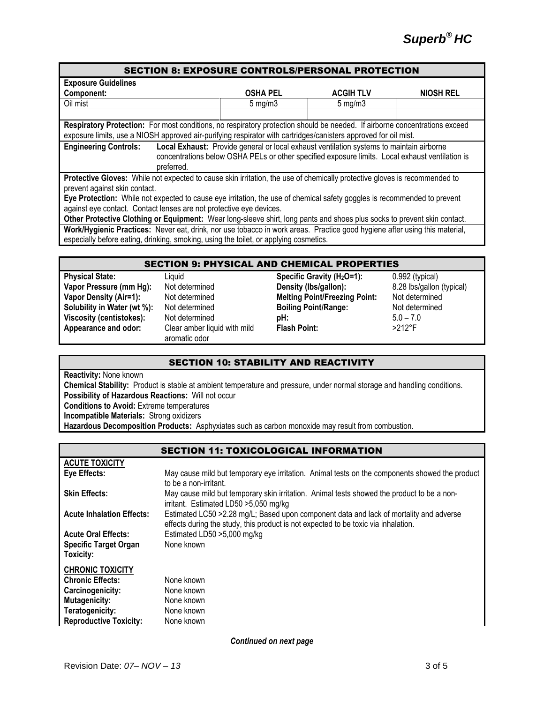# SECTION 8: EXPOSURE CONTROLS/PERSONAL PROTECTION **Exposure Guidelines Component: OSHA PEL ACGIH TLV NIOSH REL** Oil mist 5 mg/m3 5 mg/m3 **Respiratory Protection:** For most conditions, no respiratory protection should be needed. If airborne concentrations exceed exposure limits, use a NIOSH approved air-purifying respirator with cartridges/canisters approved for oil mist. **Engineering Controls: Local Exhaust:** Provide general or local exhaust ventilation systems to maintain airborne concentrations below OSHA PELs or other specified exposure limits. Local exhaust ventilation is preferred. **Protective Gloves:** While not expected to cause skin irritation, the use of chemically protective gloves is recommended to prevent against skin contact. **Eye Protection:** While not expected to cause eye irritation, the use of chemical safety goggles is recommended to prevent against eye contact. Contact lenses are not protective eye devices.

**Other Protective Clothing or Equipment:** Wear long-sleeve shirt, long pants and shoes plus socks to prevent skin contact. **Work/Hygienic Practices:** Never eat, drink, nor use tobacco in work areas. Practice good hygiene after using this material, especially before eating, drinking, smoking, using the toilet, or applying cosmetics.

## SECTION 9: PHYSICAL AND CHEMICAL PROPERTIES

**Appearance and odor:** Clear amber liquid with mild

aromatic odor

**Physical State:** Liquid **Specific Gravity (H2O=1):** 0.992 (typical) **Vapor Pressure (mm Hg):** Not determined **Density (lbs/gallon):** 8.28 lbs/gallon (typical) **Vapor Density (Air=1):** Not determined **Melting Point/Freezing Point:** Not determined **Solubility in Water (wt %):** Not determined **Boiling Point/Range:** Not determined **Viscosity (centistokes):** Not determined **pH:** 5.0 – 7.0<br> **Appearance and odor:** Clear amber liquid with mild **Flash Point:** >212°F **Flash Point:** 

# SECTION 10: STABILITY AND REACTIVITY

**Reactivity:** None known

**Chemical Stability:** Product is stable at ambient temperature and pressure, under normal storage and handling conditions. **Possibility of Hazardous Reactions:** Will not occur **Conditions to Avoid:** Extreme temperatures **Incompatible Materials:** Strong oxidizers

**Hazardous Decomposition Products:** Asphyxiates such as carbon monoxide may result from combustion.

# SECTION 11: TOXICOLOGICAL INFORMATION

| <b>ACUTE TOXICITY</b>                     |                                                                                                                                                                               |
|-------------------------------------------|-------------------------------------------------------------------------------------------------------------------------------------------------------------------------------|
| Eye Effects:                              | May cause mild but temporary eye irritation. Animal tests on the components showed the product<br>to be a non-irritant.                                                       |
| <b>Skin Effects:</b>                      | May cause mild but temporary skin irritation. Animal tests showed the product to be a non-<br>irritant. Estimated LD50 > 5,050 mg/kg                                          |
| <b>Acute Inhalation Effects:</b>          | Estimated LC50 > 2.28 mg/L; Based upon component data and lack of mortality and adverse<br>effects during the study, this product is not expected to be toxic via inhalation. |
| <b>Acute Oral Effects:</b>                | Estimated LD50 >5,000 mg/kg                                                                                                                                                   |
| <b>Specific Target Organ</b><br>Toxicity: | None known                                                                                                                                                                    |
| <b>CHRONIC TOXICITY</b>                   |                                                                                                                                                                               |
| <b>Chronic Effects:</b>                   | None known                                                                                                                                                                    |
| Carcinogenicity:                          | None known                                                                                                                                                                    |
| <b>Mutagenicity:</b>                      | None known                                                                                                                                                                    |
| Teratogenicity:                           | None known                                                                                                                                                                    |
| <b>Reproductive Toxicity:</b>             | None known                                                                                                                                                                    |

*Continued on next page*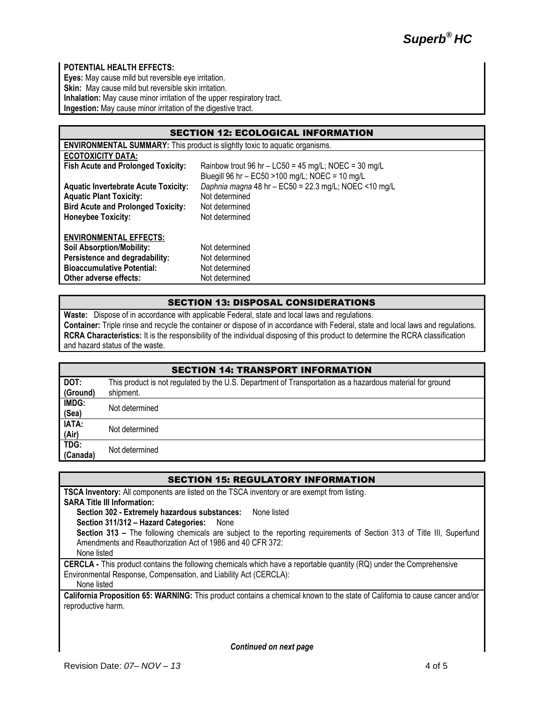## **POTENTIAL HEALTH EFFECTS:**

**Eyes:** May cause mild but reversible eye irritation. Skin: May cause mild but reversible skin irritation. **Inhalation:** May cause minor irritation of the upper respiratory tract. **Ingestion:** May cause minor irritation of the digestive tract.

| <b>SECTION 12: ECOLOGICAL INFORMATION</b>                                          |                                                        |  |  |  |  |
|------------------------------------------------------------------------------------|--------------------------------------------------------|--|--|--|--|
| <b>ENVIRONMENTAL SUMMARY:</b> This product is slightly toxic to aquatic organisms. |                                                        |  |  |  |  |
| <b>ECOTOXICITY DATA:</b>                                                           |                                                        |  |  |  |  |
| <b>Fish Acute and Prolonged Toxicity:</b>                                          | Rainbow trout 96 hr $-$ LC50 = 45 mg/L; NOEC = 30 mg/L |  |  |  |  |
|                                                                                    | Bluegill 96 hr - EC50 > 100 mg/L; NOEC = 10 mg/L       |  |  |  |  |
| <b>Aquatic Invertebrate Acute Toxicity:</b>                                        | Daphnia magna 48 hr - EC50 = 22.3 mg/L; NOEC <10 mg/L  |  |  |  |  |
| <b>Aquatic Plant Toxicity:</b>                                                     | Not determined                                         |  |  |  |  |
| <b>Bird Acute and Prolonged Toxicity:</b>                                          | Not determined                                         |  |  |  |  |
| <b>Honeybee Toxicity:</b>                                                          | Not determined                                         |  |  |  |  |
| <b>ENVIRONMENTAL EFFECTS:</b>                                                      |                                                        |  |  |  |  |
| <b>Soil Absorption/Mobility:</b>                                                   | Not determined                                         |  |  |  |  |
| Persistence and degradability:                                                     | Not determined                                         |  |  |  |  |
| <b>Bioaccumulative Potential:</b>                                                  | Not determined                                         |  |  |  |  |
|                                                                                    |                                                        |  |  |  |  |
| Other adverse effects:                                                             | Not determined                                         |  |  |  |  |

#### SECTION 13: DISPOSAL CONSIDERATIONS

**Waste:** Dispose of in accordance with applicable Federal, state and local laws and regulations. **Container:** Triple rinse and recycle the container or dispose of in accordance with Federal, state and local laws and regulations. **RCRA Characteristics:** It is the responsibility of the individual disposing of this product to determine the RCRA classification and hazard status of the waste.

| <b>SECTION 14: TRANSPORT INFORMATION</b> |                                                                                                                        |  |  |
|------------------------------------------|------------------------------------------------------------------------------------------------------------------------|--|--|
| DOT:<br>(Ground)                         | This product is not regulated by the U.S. Department of Transportation as a hazardous material for ground<br>shipment. |  |  |
| IMDG:<br>(Sea)                           | Not determined                                                                                                         |  |  |
| IATA:<br>(Air)                           | Not determined                                                                                                         |  |  |
| TDG:<br>(Canada)                         | Not determined                                                                                                         |  |  |

| <b>SECTION 15: REGULATORY INFORMATION</b>                                                                                    |  |  |
|------------------------------------------------------------------------------------------------------------------------------|--|--|
| <b>TSCA Inventory:</b> All components are listed on the TSCA inventory or are exempt from listing.                           |  |  |
| <b>SARA Title III Information:</b>                                                                                           |  |  |
| Section 302 - Extremely hazardous substances:<br>None listed                                                                 |  |  |
| Section 311/312 - Hazard Categories: None                                                                                    |  |  |
| Section 313 - The following chemicals are subject to the reporting requirements of Section 313 of Title III, Superfund       |  |  |
| Amendments and Reauthorization Act of 1986 and 40 CFR 372:                                                                   |  |  |
| None listed                                                                                                                  |  |  |
| CERCLA - This product contains the following chemicals which have a reportable quantity (RQ) under the Comprehensive         |  |  |
| Environmental Response, Compensation, and Liability Act (CERCLA):                                                            |  |  |
| None listed                                                                                                                  |  |  |
| California Proposition 65: WARNING: This product contains a chemical known to the state of California to cause cancer and/or |  |  |
| reproductive harm.                                                                                                           |  |  |

*Continued on next page*